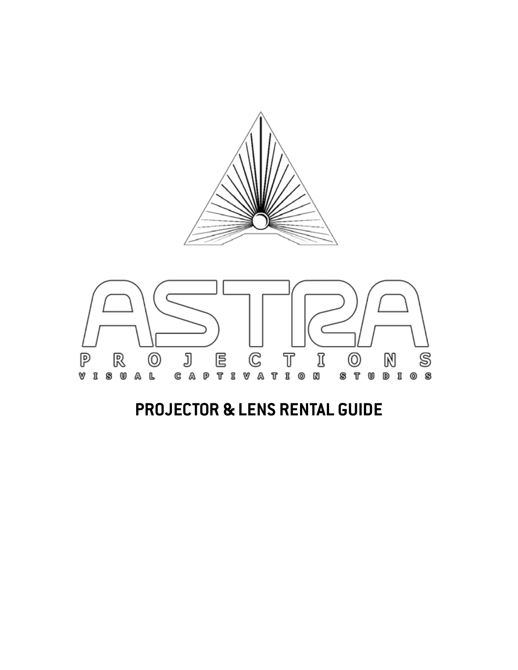



## **PROJECTOR & LENS RENTAL GUIDE**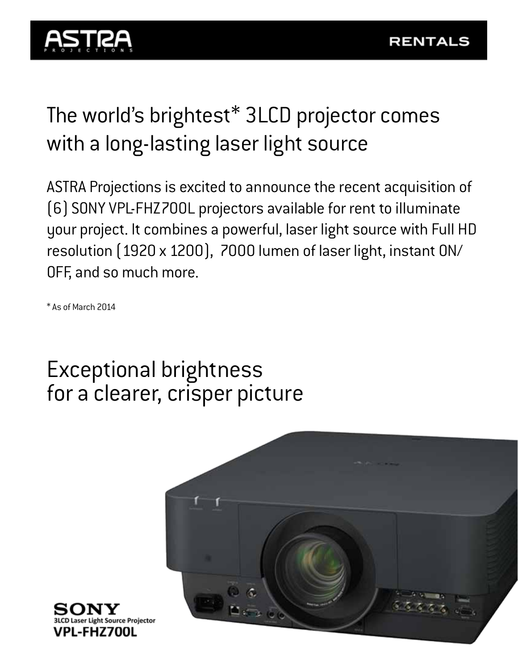

# The world's brightest\* 3LCD projector comes with a long-lasting laser light source

ASTRA Projections is excited to announce the recent acquisition of (6) SONY VPL-FHZ700L projectors available for rent to illuminate your project. It combines a powerful, laser light source with Full HD resolution (1920 x 1200), 7000 lumen of laser light, instant ON/ OFF, and so much more.

\* As of March 2014

## Exceptional brightness for a clearer, crisper picture



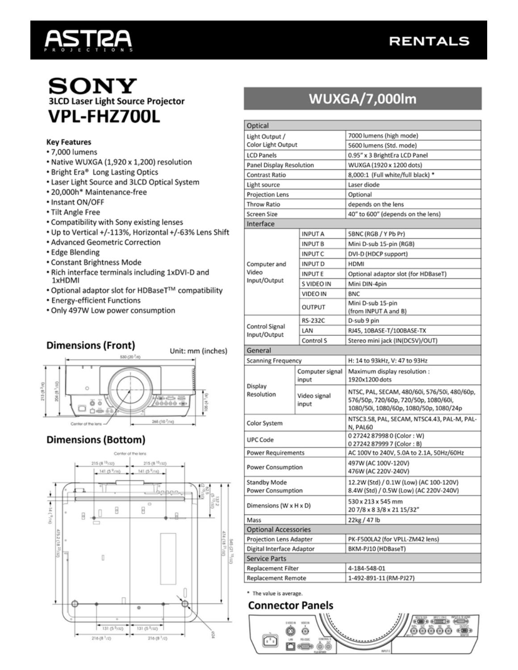

### **RENTALS**

### **SONY 3LCD Laser Light Source Projector VPL-FHZ700L**

#### **Key Features**

- 7,000 lumens
- Native WUXGA (1,920 x 1,200) resolution
- Bright Era® Long Lasting Optics
- Laser Light Source and 3LCD Optical System
- 20.000h\* Maintenance-free
- · Instant ON/OFF
- Tilt Angle Free
- Compatibility with Sony existing lenses
- . Up to Vertical +/-113%, Horizontal +/-63% Lens Shift
- Advanced Geometric Correction
- Edge Blending
- Constant Brightness Mode
- . Rich interface terminals including 1xDVI-D and 1xHDMI
- Optional adaptor slot for HDBaseT™ compatibility
- Energy-efficient Functions
- . Only 497W Low power consumption

#### **Dimensions (Front)**





#### **Dimensions (Bottom)**



## **WUXGA/7,000lm**

| Optical                               |                          |                                                                                                                                |
|---------------------------------------|--------------------------|--------------------------------------------------------------------------------------------------------------------------------|
| Light Output /                        |                          | 7000 lumens (high mode)                                                                                                        |
| Color Light Output                    |                          | 5600 lumens (Std. mode)                                                                                                        |
| <b>LCD Panels</b>                     |                          | 0.95" x 3 BrightEra LCD Panel                                                                                                  |
| Panel Display Resolution              |                          | WUXGA (1920 x 1200 dots)                                                                                                       |
| Contrast Ratio                        |                          | 8,000:1 (Full white/full black) *                                                                                              |
| Light source                          |                          | Laser diode                                                                                                                    |
| Projection Lens                       |                          | Optional                                                                                                                       |
| Throw Ratio                           |                          | depends on the lens                                                                                                            |
| Screen Size                           |                          | 40" to 600" (depends on the lens)                                                                                              |
| Interface                             |                          |                                                                                                                                |
| Computer and<br>Video<br>Input/Output | <b>INPUTA</b>            | 5BNC (RGB / Y Pb Pr)                                                                                                           |
|                                       | <b>INPUT B</b>           | Mini D-sub 15-pin (RGB)                                                                                                        |
|                                       | <b>INPUTC</b>            | DVI-D (HDCP support)                                                                                                           |
|                                       | <b>INPUTD</b>            | <b>HDMI</b>                                                                                                                    |
|                                       | <b>INPUTE</b>            | Optional adaptor slot (for HDBaseT)                                                                                            |
|                                       | S VIDEO IN               | Mini DIN-4pin                                                                                                                  |
|                                       | VIDEO IN                 | <b>BNC</b>                                                                                                                     |
|                                       | OUTPUT                   | Mini D-sub 15-pin                                                                                                              |
|                                       |                          | (from INPUT A and B)                                                                                                           |
| Control Signal<br>Input/Output        | RS-232C                  | D-sub 9 pin                                                                                                                    |
|                                       | LAN                      | RJ45, 10BASE-T/100BASE-TX                                                                                                      |
|                                       | Control S                | Stereo mini jack (IN(DC5V)/OUT)                                                                                                |
| General                               |                          |                                                                                                                                |
| Scanning Frequency                    |                          | H: 14 to 93kHz, V: 47 to 93Hz                                                                                                  |
| Display<br>Resolution                 | Computer signal<br>input | Maximum display resolution :<br>1920x1200 dots                                                                                 |
|                                       | Video signal<br>input    | NTSC, PAL, SECAM, 480/60i, 576/50i, 480/60p,<br>576/50p, 720/60p, 720/50p, 1080/60i,<br>1080/50i, 1080/60p, 1080/50p, 1080/24p |
| Color System                          |                          | NTSC3.58, PAL, SECAM, NTSC4.43, PAL-M, PAL-<br>N, PAL60                                                                        |
| <b>UPC Code</b>                       |                          | 0 27242 87998 0 (Color: W)<br>027242879997 (Color: B)                                                                          |
| <b>Power Requirements</b>             |                          | AC 100V to 240V, 5.0A to 2.1A, 50Hz/60Hz                                                                                       |
| <b>Power Consumption</b>              |                          | 497W (AC 100V-120V)<br>476W (AC 220V-240V)                                                                                     |
| Standby Mode                          |                          | 12.2W (Std) / 0.1W (Low) (AC 100-120V)                                                                                         |
| Power Consumption                     |                          | 8.4W (Std) / 0.5W (Low) (AC 220V-240V)                                                                                         |
| Dimensions (W x H x D)                |                          | 530 x 213 x 545 mm<br>207/8 x 8 3/8 x 21 15/32"                                                                                |
| Mass                                  |                          | 22kg / 47 lb                                                                                                                   |
| <b>Optional Accessories</b>           |                          |                                                                                                                                |
| Projection Lens Adapter               |                          | PK-F500LA2 (for VPLL-ZM42 lens)                                                                                                |
| Digital Interface Adaptor             |                          | BKM-PJ10 (HDBaseT)                                                                                                             |
| Service Parts                         |                          |                                                                                                                                |
| <b>Replacement Filter</b>             |                          | 4-184-548-01                                                                                                                   |
| Replacement Remote                    |                          | 1-492-891-11 (RM-PJ27)                                                                                                         |

\* The value is average.

#### **Connector Panels**

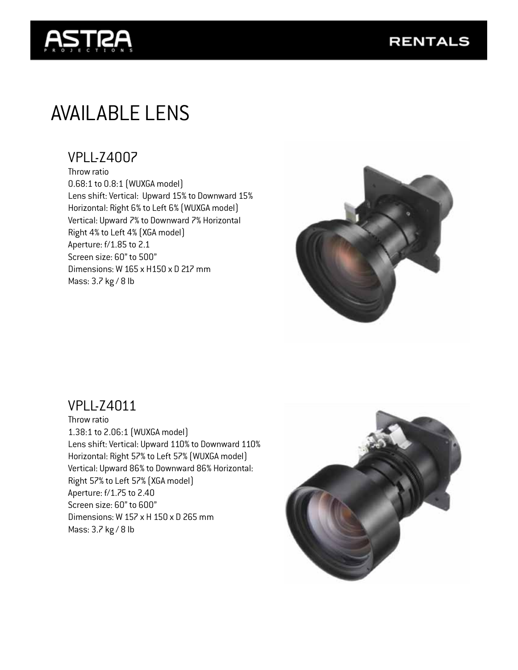

## AVAILABLE LENS

### VPLL-Z4007

Throw ratio 0.68:1 to 0.8:1 (WUXGA model) Lens shift: Vertical: Upward 15% to Downward 15% Horizontal: Right 6% to Left 6% (WUXGA model) Vertical: Upward 7% to Downward 7% Horizontal Right 4% to Left 4% (XGA model) Aperture: f/1.85 to 2.1 Screen size: 60" to 500" Dimensions: W 165 x H150 x D 217 mm Mass: 3.7 kg / 8 lb



### VPLL-Z4011

Throw ratio 1.38:1 to 2.06:1 (WUXGA model) Lens shift: Vertical: Upward 110% to Downward 110% Horizontal: Right 57% to Left 57% (WUXGA model) Vertical: Upward 86% to Downward 86% Horizontal: Right 57% to Left 57% (XGA model) Aperture: f/1.75 to 2.40 Screen size: 60" to 600" Dimensions: W 157 x H 150 x D 265 mm Mass: 3.7 kg / 8 lb

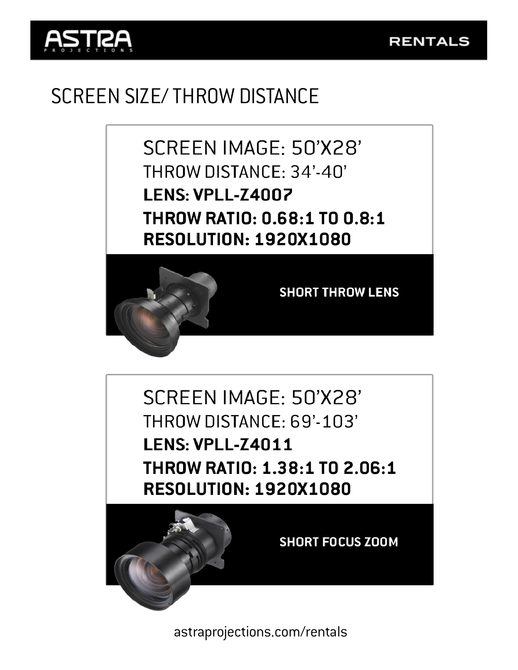



## SCREEN SIZE/ THROW DISTANCE

SCREEN IMAGE: 50'X28' THROW DISTANCE: 34'-40' **LENS: VPLL-Z4007 THROW RATIO: 0.68:1 TO 0.8:1 RESOLUTION: 1920X1080** 



**SHORT THROW LENS** 

SCREEN IMAGE: 50'X28' THROW DISTANCE: 69'-103' **LENS: VPLL-Z4011** THROW RATIO: 1.38:1 TO 2.06:1 **RESOLUTION: 1920X1080** 



**SHORT FOCUS ZOOM** 

astraprojections.com/rentals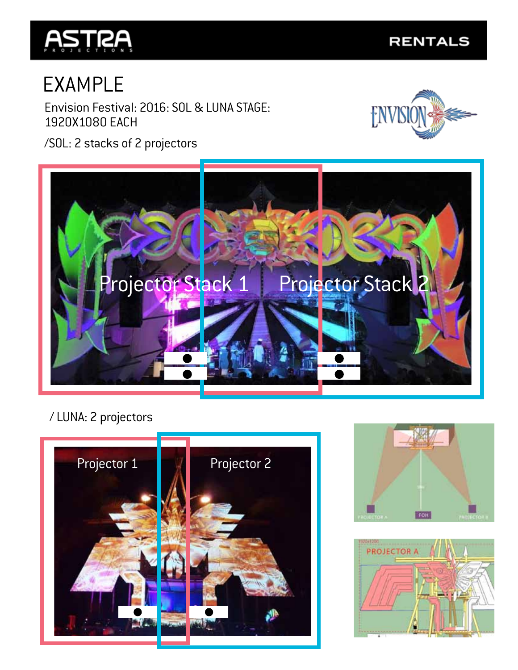

# EXAMPLE

Envision Festival: 2016: SOL & LUNA STAGE: 1920X1080 EACH



/SOL: 2 stacks of 2 projectors



### / LUNA: 2 projectors